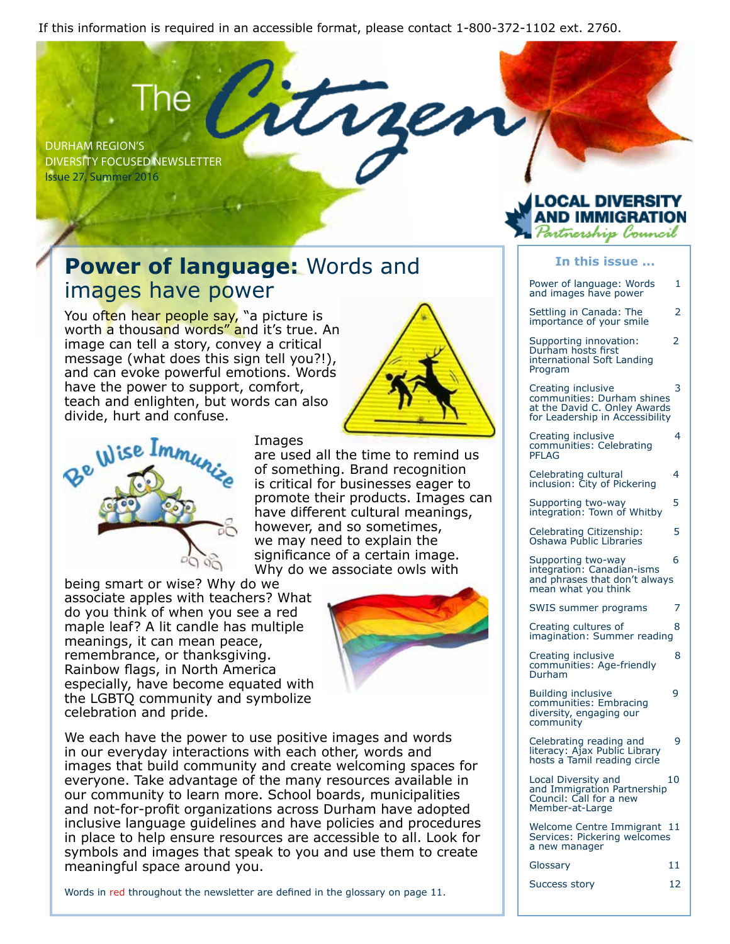If this information is required in an accessible format, please contact 1-800-372-1102 ext. 2760.

Durham Region's Diversity Focused Newsletter Issue 27, Summer 2016

#### **Power of language:** Words and images have power

You often hear people say, "a picture is worth a thousand words" and it's true. An image can tell a story, convey a critical message (what does this sign tell you?!), and can evoke powerful emotions. Words have the power to support, comfort, teach and enlighten, but words can also divide, hurt and confuse.



**Images** 

are used all the time to remind us of something. Brand recognition is critical for businesses eager to promote their products. Images can have different cultural meanings, however, and so sometimes, we may need to explain the significance of a certain image. Why do we associate owls with

being smart or wise? Why do we associate apples with teachers? What do you think of when you see a red maple leaf? A lit candle has multiple meanings, it can mean peace, remembrance, or thanksgiving. Rainbow flags, in North America especially, have become equated with the LGBTQ community and symbolize celebration and pride.



We each have the power to use positive images and words in our everyday interactions with each other, words and images that build community and create welcoming spaces for everyone. Take advantage of the many resources available in our community to learn more. School boards, municipalities and not-for-profit organizations across Durham have adopted inclusive language guidelines and have policies and procedures in place to help ensure resources are accessible to all. Look for symbols and images that speak to you and use them to create meaningful space around you.

Words in red throughout the newsletter are defined in the glossary on page 11.

# ntnership Council

| In this issue                                                                                                       |    |
|---------------------------------------------------------------------------------------------------------------------|----|
| Power of language: Words<br>and images have power                                                                   | 1  |
| Settling in Canada: The<br>importance of your smile                                                                 | 2  |
| Supporting innovation:<br>Durham hosts first<br>international Soft Landing<br>Program                               | 2  |
| Creating inclusive<br>communities: Durham shines<br>at the David C. Onley Awards<br>for Leadership in Accessibility | 3  |
| Creating inclusive<br>communities: Celebrating<br>PFLAG                                                             | 4  |
| Celebrating cultural<br>inclusion: City of Pickering                                                                | 4  |
| Supporting two-way<br>integration: Town of Whitby                                                                   | 5  |
| Celebrating Citizenship:<br>Oshawa Public Libraries                                                                 | 5  |
| Supporting two-way<br>integration: Canadian-isms<br>and phrases that don't always<br>mean what you think            | 6  |
| SWIS summer programs                                                                                                | 7  |
| Creating cultures of<br>imagination: Summer reading                                                                 | 8  |
| Creating inclusive<br>communities: Age-friendly<br>Durham                                                           | 8  |
| <b>Building inclusive</b><br>communities: Embracing<br>diversity, engaging our<br>community                         | 9  |
| Celebrating reading and<br>literacy: Ajax Public Library<br>hosts a Tamil reading circle                            | 9  |
| Local Diversity and<br>and Immigration Partnership<br>Council: Call for a new<br>Member-at-Large                    | 10 |
| Welcome Centre Immigrant 11<br>Services: Pickering welcomes<br>a new manager                                        |    |

Glossary 11

| <b>Success story</b> |  |  |  |
|----------------------|--|--|--|
|----------------------|--|--|--|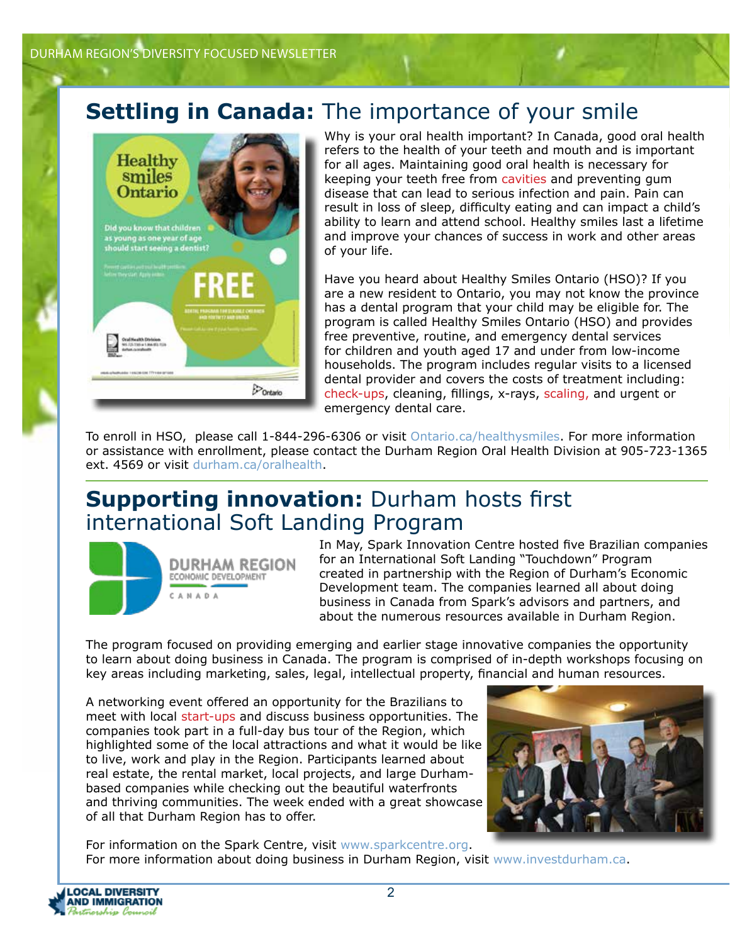#### **Settling in Canada:** The importance of your smile



Why is your oral health important? In Canada, good oral health refers to the health of your teeth and mouth and is important for all ages. Maintaining good oral health is necessary for keeping your teeth free from cavities and preventing gum disease that can lead to serious infection and pain. Pain can result in loss of sleep, difficulty eating and can impact a child's ability to learn and attend school. Healthy smiles last a lifetime and improve your chances of success in work and other areas of your life.

Have you heard about Healthy Smiles Ontario (HSO)? If you are a new resident to Ontario, you may not know the province has a dental program that your child may be eligible for. The program is called Healthy Smiles Ontario (HSO) and provides free preventive, routine, and emergency dental services for children and youth aged 17 and under from low-income households. The program includes regular visits to a licensed dental provider and covers the costs of treatment including: check-ups, cleaning, fillings, x-rays, scaling, and urgent or emergency dental care.

To enroll in HSO, please call 1-844-296-6306 or visit Ontario.ca/healthysmiles. For more information or assistance with enrollment, please contact the Durham Region Oral Health Division at 905-723-1365 ext. 4569 or visit durham.ca/oralhealth.

#### **Supporting innovation:** Durham hosts first international Soft Landing Program



In May, Spark Innovation Centre hosted five Brazilian companies for an International Soft Landing "Touchdown" Program created in partnership with the Region of Durham's Economic Development team. The companies learned all about doing business in Canada from Spark's advisors and partners, and about the numerous resources available in Durham Region.

The program focused on providing emerging and earlier stage innovative companies the opportunity to learn about doing business in Canada. The program is comprised of in-depth workshops focusing on key areas including marketing, sales, legal, intellectual property, financial and human resources.

A networking event offered an opportunity for the Brazilians to meet with local start-ups and discuss business opportunities. The companies took part in a full-day bus tour of the Region, which highlighted some of the local attractions and what it would be like to live, work and play in the Region. Participants learned about real estate, the rental market, local projects, and large Durhambased companies while checking out the beautiful waterfronts and thriving communities. The week ended with a great showcase of all that Durham Region has to offer.



For information on the Spark Centre, visit www.sparkcentre.org. For more information about doing business in Durham Region, visit www.investdurham.ca.

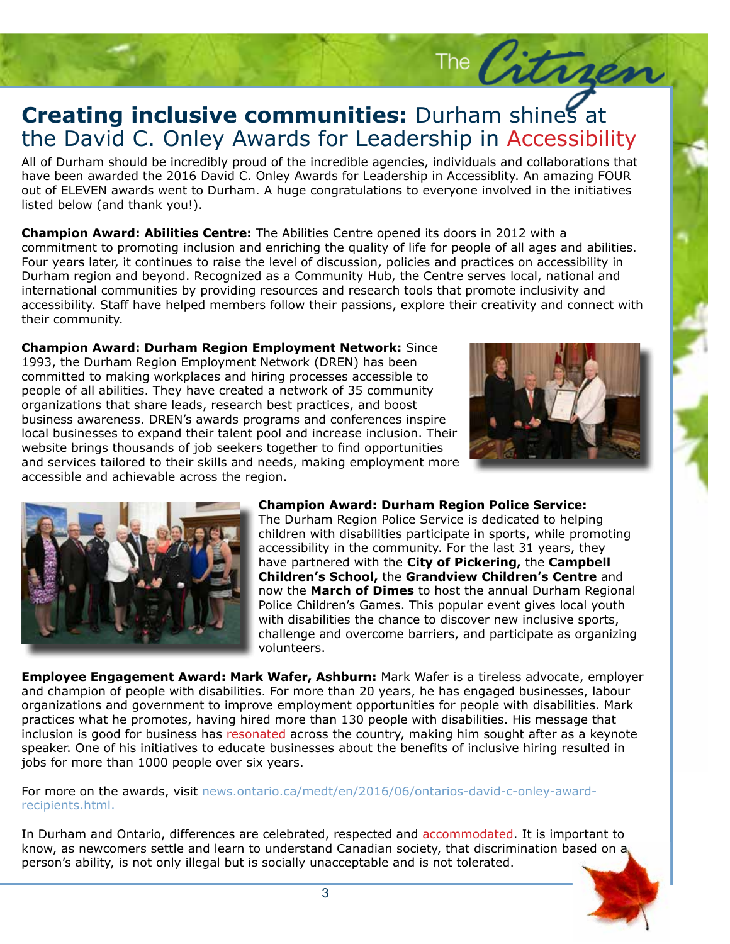#### **Creating inclusive communities:** Durham shines at the David C. Onley Awards for Leadership in Accessibili the David C. Onley Awards for Leadership in Accessibility

All of Durham should be incredibly proud of the incredible agencies, individuals and collaborations that<br>have been awarded the 2016 David C. Onley Awards for Leadership in Accessiblity. An amazing FOUR have been awarded the 2016 David C. Onley Awards for Leadership in Accessiblity. An amazing FOUR out of ELEVEN awards went to Durham. A huge congratulations to everyone involved in the initiatives listed below (and thank you!).

**Champion Award: Abilities Centre:** The Abilities Centre opened its doors in 2012 with a commitment to promoting inclusion and enriching the quality of life for people of all ages and abilities. Four years later, it continues to raise the level of discussion, policies and practices on accessibility in Durham region and beyond. Recognized as a Community Hub, the Centre serves local, national and international communities by providing resources and research tools that promote inclusivity and accessibility. Staff have helped members follow their passions, explore their creativity and connect with their community.

**Champion Award: Durham Region Employment Network:** Since 1993, the Durham Region Employment Network (DREN) has been committed to making workplaces and hiring processes accessible to people of all abilities. They have created a network of 35 community organizations that share leads, research best practices, and boost business awareness. DREN's awards programs and conferences inspire local businesses to expand their talent pool and increase inclusion. Their website brings thousands of job seekers together to find opportunities and services tailored to their skills and needs, making employment more accessible and achievable across the region.



The Citrae



**Champion Award: Durham Region Police Service:** 

The Durham Region Police Service is dedicated to helping children with disabilities participate in sports, while promoting accessibility in the community. For the last 31 years, they have partnered with the **City of Pickering,** the **Campbell Children's School,** the **Grandview Children's Centre** and now the **March of Dimes** to host the annual Durham Regional Police Children's Games. This popular event gives local youth with disabilities the chance to discover new inclusive sports, challenge and overcome barriers, and participate as organizing volunteers.

**Employee Engagement Award: Mark Wafer, Ashburn:** Mark Wafer is a tireless advocate, employer and champion of people with disabilities. For more than 20 years, he has engaged businesses, labour organizations and government to improve employment opportunities for people with disabilities. Mark practices what he promotes, having hired more than 130 people with disabilities. His message that inclusion is good for business has resonated across the country, making him sought after as a keynote speaker. One of his initiatives to educate businesses about the benefits of inclusive hiring resulted in jobs for more than 1000 people over six years.

For more on the awards, visit news.ontario.ca/medt/en/2016/06/ontarios-david-c-onley-awardrecipients.html.

In Durham and Ontario, differences are celebrated, respected and accommodated. It is important to know, as newcomers settle and learn to understand Canadian society, that discrimination based on a person's ability, is not only illegal but is socially unacceptable and is not tolerated.

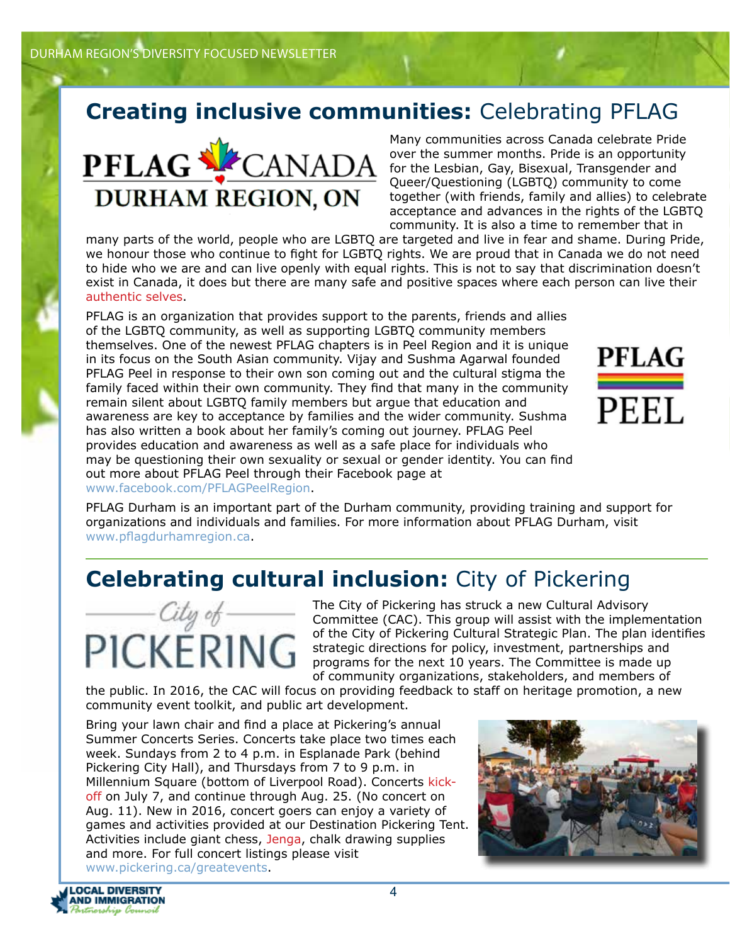## **Creating inclusive communities:** Celebrating PFLAG



Many communities across Canada celebrate Pride over the summer months. Pride is an opportunity for the Lesbian, Gay, Bisexual, Transgender and Queer/Questioning (LGBTQ) community to come together (with friends, family and allies) to celebrate acceptance and advances in the rights of the LGBTQ community. It is also a time to remember that in

many parts of the world, people who are LGBTQ are targeted and live in fear and shame. During Pride, we honour those who continue to fight for LGBTQ rights. We are proud that in Canada we do not need to hide who we are and can live openly with equal rights. This is not to say that discrimination doesn't exist in Canada, it does but there are many safe and positive spaces where each person can live their authentic selves.

PFLAG is an organization that provides support to the parents, friends and allies of the LGBTQ community, as well as supporting LGBTQ community members themselves. One of the newest PFLAG chapters is in Peel Region and it is unique in its focus on the South Asian community. Vijay and Sushma Agarwal founded PFLAG Peel in response to their own son coming out and the cultural stigma the family faced within their own community. They find that many in the community remain silent about LGBTQ family members but argue that education and awareness are key to acceptance by families and the wider community. Sushma has also written a book about her family's coming out journey. PFLAG Peel provides education and awareness as well as a safe place for individuals who may be questioning their own sexuality or sexual or gender identity. You can find out more about PFLAG Peel through their Facebook page at www.facebook.com/PFLAGPeelRegion.



PFLAG Durham is an important part of the Durham community, providing training and support for organizations and individuals and families. For more information about PFLAG Durham, visit www.pflagdurhamregion.ca.

## **Celebrating cultural inclusion:** City of Pickering



The City of Pickering has struck a new Cultural Advisory Committee (CAC). This group will assist with the implementation of the City of Pickering Cultural Strategic Plan. The plan identifies strategic directions for policy, investment, partnerships and programs for the next 10 years. The Committee is made up of community organizations, stakeholders, and members of

the public. In 2016, the CAC will focus on providing feedback to staff on heritage promotion, a new community event toolkit, and public art development.

Bring your lawn chair and find a place at Pickering's annual Summer Concerts Series. Concerts take place two times each week. Sundays from 2 to 4 p.m. in Esplanade Park (behind Pickering City Hall), and Thursdays from 7 to 9 p.m. in Millennium Square (bottom of Liverpool Road). Concerts kickoff on July 7, and continue through Aug. 25. (No concert on Aug. 11). New in 2016, concert goers can enjoy a variety of games and activities provided at our Destination Pickering Tent. Activities include giant chess, Jenga, chalk drawing supplies and more. For full concert listings please visit www.pickering.ca/greatevents.



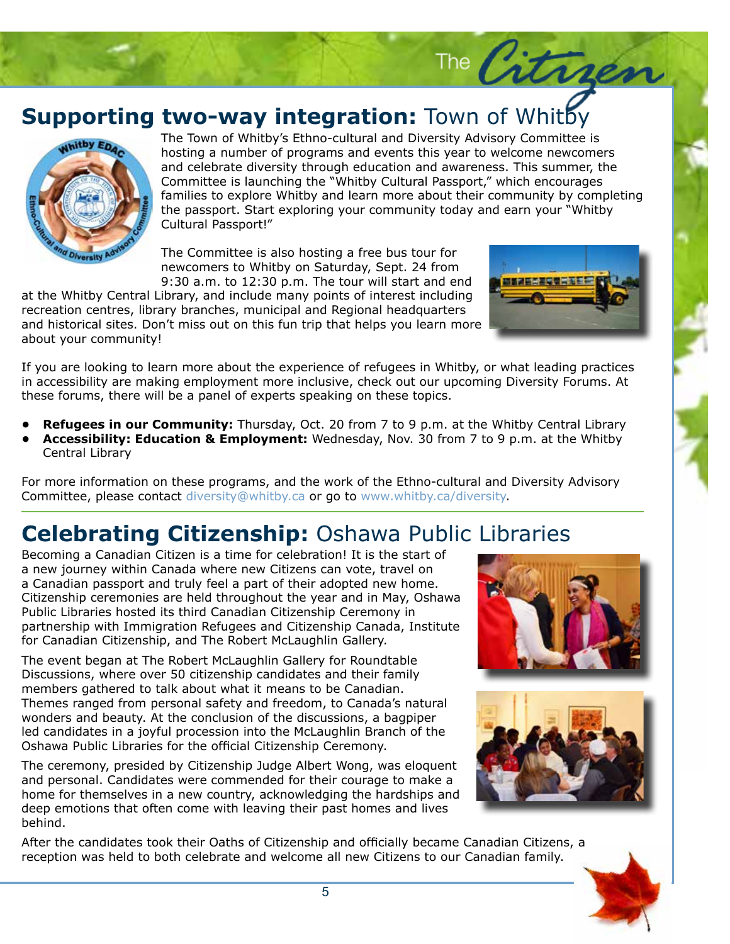#### **Supporting two-way integration:** Town of Whitby



The Town of Whitby's Ethno-cultural and Diversity Advisory Committee is hosting a number of programs and events this year to welcome newcomers and celebrate diversity through education and awareness. This summer, the Committee is launching the "Whitby Cultural Passport," which encourages families to explore Whitby and learn more about their community by completing the passport. Start exploring your community today and earn your "Whitby Cultural Passport!"

The Committee is also hosting a free bus tour for newcomers to Whitby on Saturday, Sept. 24 from 9:30 a.m. to 12:30 p.m. The tour will start and end

at the Whitby Central Library, and include many points of interest including recreation centres, library branches, municipal and Regional headquarters and historical sites. Don't miss out on this fun trip that helps you learn more about your community!



The Citragen

If you are looking to learn more about the experience of refugees in Whitby, or what leading practices in accessibility are making employment more inclusive, check out our upcoming Diversity Forums. At these forums, there will be a panel of experts speaking on these topics.

- **Refugees in our Community:** Thursday, Oct. 20 from 7 to 9 p.m. at the Whitby Central Library
- **Accessibility: Education & Employment:** Wednesday, Nov. 30 from 7 to 9 p.m. at the Whitby Central Library

For more information on these programs, and the work of the Ethno-cultural and Diversity Advisory Committee, please contact diversity@whitby.ca or go to www.whitby.ca/diversity.

## **Celebrating Citizenship:** Oshawa Public Libraries

Becoming a Canadian Citizen is a time for celebration! It is the start of a new journey within Canada where new Citizens can vote, travel on a Canadian passport and truly feel a part of their adopted new home. Citizenship ceremonies are held throughout the year and in May, Oshawa Public Libraries hosted its third Canadian Citizenship Ceremony in partnership with Immigration Refugees and Citizenship Canada, Institute for Canadian Citizenship, and The Robert McLaughlin Gallery.

The event began at The Robert McLaughlin Gallery for Roundtable Discussions, where over 50 citizenship candidates and their family members gathered to talk about what it means to be Canadian. Themes ranged from personal safety and freedom, to Canada's natural wonders and beauty. At the conclusion of the discussions, a bagpiper led candidates in a joyful procession into the McLaughlin Branch of the Oshawa Public Libraries for the official Citizenship Ceremony.

The ceremony, presided by Citizenship Judge Albert Wong, was eloquent and personal. Candidates were commended for their courage to make a home for themselves in a new country, acknowledging the hardships and deep emotions that often come with leaving their past homes and lives behind.





After the candidates took their Oaths of Citizenship and officially became Canadian Citizens, a reception was held to both celebrate and welcome all new Citizens to our Canadian family.

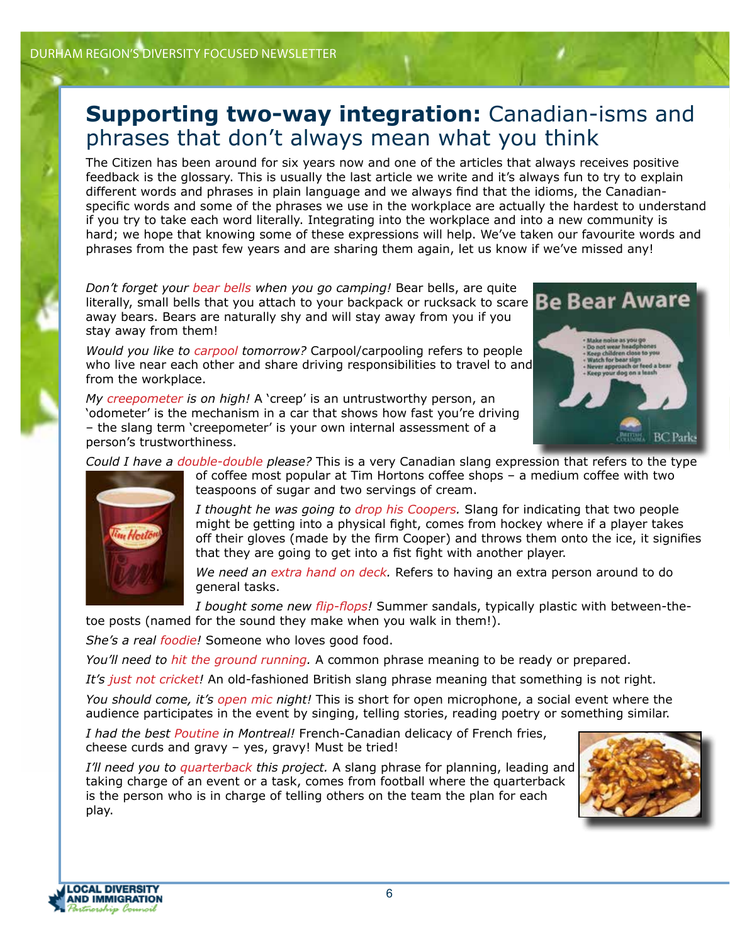#### **Supporting two-way integration:** Canadian-isms and phrases that don't always mean what you think

The Citizen has been around for six years now and one of the articles that always receives positive feedback is the glossary. This is usually the last article we write and it's always fun to try to explain different words and phrases in plain language and we always find that the idioms, the Canadianspecific words and some of the phrases we use in the workplace are actually the hardest to understand if you try to take each word literally. Integrating into the workplace and into a new community is hard; we hope that knowing some of these expressions will help. We've taken our favourite words and phrases from the past few years and are sharing them again, let us know if we've missed any!

*Don't forget your bear bells when you go camping!* Bear bells, are quite literally, small bells that you attach to your backpack or rucksack to scare **Be Bear Aware** away bears. Bears are naturally shy and will stay away from you if you stay away from them!

*Would you like to carpool tomorrow?* Carpool/carpooling refers to people who live near each other and share driving responsibilities to travel to and from the workplace.



*My creepometer is on high!* A 'creep' is an untrustworthy person, an 'odometer' is the mechanism in a car that shows how fast you're driving – the slang term 'creepometer' is your own internal assessment of a person's trustworthiness.

*Could I have a double-double please?* This is a very Canadian slang expression that refers to the type



of coffee most popular at Tim Hortons coffee shops – a medium coffee with two teaspoons of sugar and two servings of cream.

*I thought he was going to drop his Coopers.* Slang for indicating that two people might be getting into a physical fight, comes from hockey where if a player takes off their gloves (made by the firm Cooper) and throws them onto the ice, it signifies that they are going to get into a fist fight with another player.

*We need an extra hand on deck.* Refers to having an extra person around to do general tasks.

*I bought some new flip-flops!* Summer sandals, typically plastic with between-thetoe posts (named for the sound they make when you walk in them!).

*She's a real foodie!* Someone who loves good food.

*You'll need to hit the ground running.* A common phrase meaning to be ready or prepared.

*It's just not cricket!* An old-fashioned British slang phrase meaning that something is not right.

*You should come, it's open mic night!* This is short for open microphone, a social event where the audience participates in the event by singing, telling stories, reading poetry or something similar.

*I had the best Poutine in Montreal!* French-Canadian delicacy of French fries, cheese curds and gravy – yes, gravy! Must be tried!

*I'll need you to quarterback this project.* A slang phrase for planning, leading and taking charge of an event or a task, comes from football where the quarterback is the person who is in charge of telling others on the team the plan for each play.



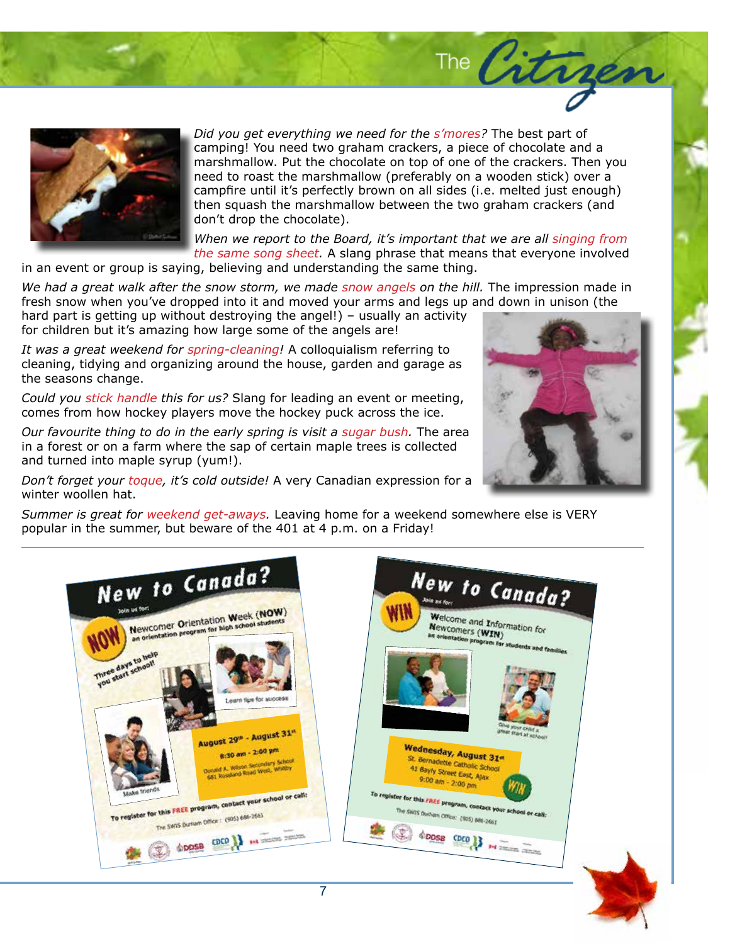

*Did you get everything we need for the s'mores?* The best part of camping! You need two graham crackers, a piece of chocolate and a marshmallow. Put the chocolate on top of one of the crackers. Then you need to roast the marshmallow (preferably on a wooden stick) over a campfire until it's perfectly brown on all sides (i.e. melted just enough) then squash the marshmallow between the two graham crackers (and don't drop the chocolate).

*When we report to the Board, it's important that we are all singing from the same song sheet.* A slang phrase that means that everyone involved

in an event or group is saying, believing and understanding the same thing.

We had a great walk after the snow storm, we made snow angels on the hill. The impression made in fresh snow when you've dropped into it and moved your arms and legs up and down in unison (the

hard part is getting up without destroying the angel!) – usually an activity for children but it's amazing how large some of the angels are!

*It was a great weekend for spring-cleaning!* A colloquialism referring to cleaning, tidying and organizing around the house, garden and garage as the seasons change.

*Could you stick handle this for us?* Slang for leading an event or meeting, comes from how hockey players move the hockey puck across the ice.

*Our favourite thing to do in the early spring is visit a sugar bush.* The area in a forest or on a farm where the sap of certain maple trees is collected and turned into maple syrup (yum!).

*Don't forget your toque, it's cold outside!* A very Canadian expression for a winter woollen hat.

*Summer is great for weekend get-aways.* Leaving home for a weekend somewhere else is VERY popular in the summer, but beware of the 401 at 4 p.m. on a Friday!





The Citrger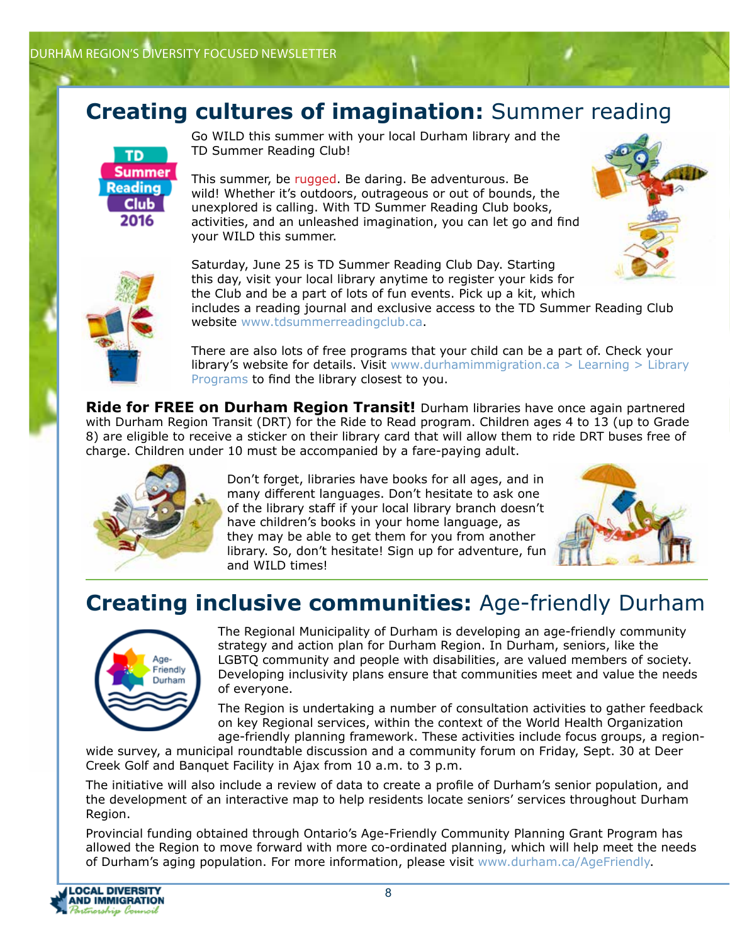#### **Creating cultures of imagination:** Summer reading



Go WILD this summer with your local Durham library and the TD Summer Reading Club!

This summer, be rugged. Be daring. Be adventurous. Be wild! Whether it's outdoors, outrageous or out of bounds, the unexplored is calling. With TD Summer Reading Club books, activities, and an unleashed imagination, you can let go and find your WILD this summer.



Saturday, June 25 is TD Summer Reading Club Day. Starting this day, visit your local library anytime to register your kids for the Club and be a part of lots of fun events. Pick up a kit, which includes a reading journal and exclusive access to the TD Summer Reading Club website www.tdsummerreadingclub.ca.

There are also lots of free programs that your child can be a part of. Check your **library's website for details. Visit** www.durhamimmigration.ca  $>$  Learning  $>$  Library Programs to find the library closest to you.

**Ride for FREE on Durham Region Transit!** Durham libraries have once again partnered with Durham Region Transit (DRT) for the Ride to Read program. Children ages 4 to 13 (up to Grade 8) are eligible to receive a sticker on their library card that will allow them to ride DRT buses free of charge. Children under 10 must be accompanied by a fare-paying adult.



Don't forget, libraries have books for all ages, and in many different languages. Don't hesitate to ask one of the library staff if your local library branch doesn't have children's books in your home language, as they may be able to get them for you from another library. So, don't hesitate! Sign up for adventure, fun and WILD times!



## **Creating inclusive communities:** Age-friendly Durham



The Regional Municipality of Durham is developing an age-friendly community strategy and action plan for Durham Region. In Durham, seniors, like the LGBTQ community and people with disabilities, are valued members of society. Developing inclusivity plans ensure that communities meet and value the needs of everyone.

The Region is undertaking a number of consultation activities to gather feedback on key Regional services, within the context of the World Health Organization age-friendly planning framework. These activities include focus groups, a region-

wide survey, a municipal roundtable discussion and a community forum on Friday, Sept. 30 at Deer Creek Golf and Banquet Facility in Ajax from 10 a.m. to 3 p.m.

The initiative will also include a review of data to create a profile of Durham's senior population, and the development of an interactive map to help residents locate seniors' services throughout Durham Region.

Provincial funding obtained through Ontario's Age-Friendly Community Planning Grant Program has allowed the Region to move forward with more co-ordinated planning, which will help meet the needs of Durham's aging population. For more information, please visit www.durham.ca/AgeFriendly.



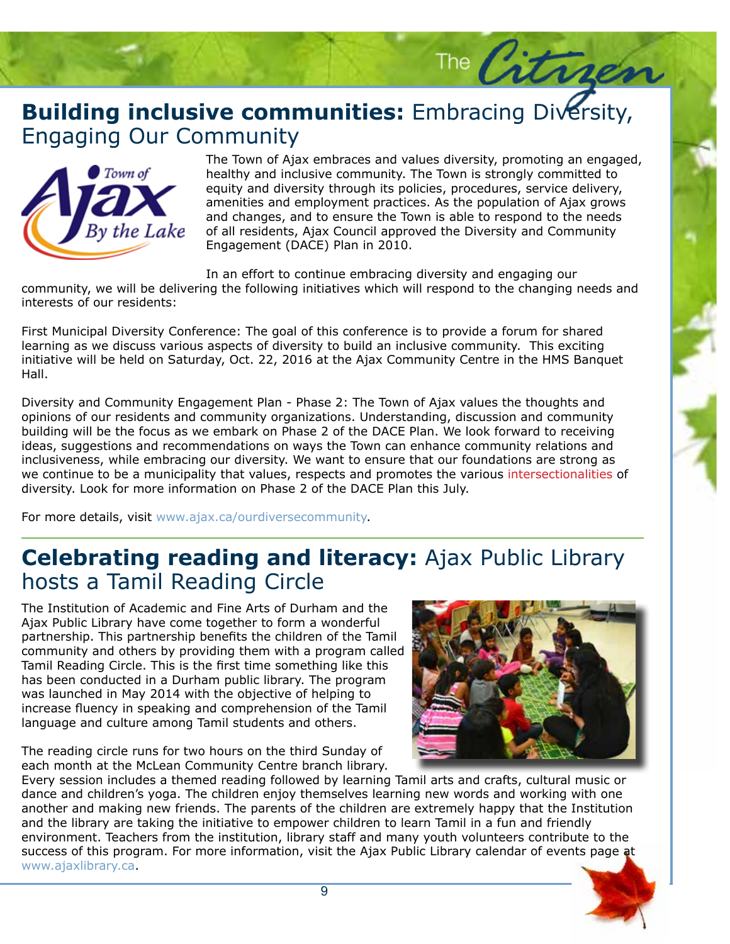#### **Building inclusive communities:** Embracing Diversity, Engaging Our Community Engaging Our Community



The Town of Ajax embraces and values diversity, promoting an engaged,<br>healthy and inclusive community. The Town is strongly committed to equity and diversity through its polities, procedures, service delivery,<br>amenities and employment practices. As the population of Ajax grows and changes, and to ensure the Town is able to respond to the needs of all residents, Ajax Council approved the Diversity and Community Engagement (DACE) Plan in 2010. healthy and inclusive community. The Town is strongly committed to equity and diversity through its policies, procedures, service delivery,

The City

In an effort to continue embracing diversity and engaging our

community, we will be delivering the following initiatives which will respond to the changing needs and  $var\, over \, 0.66$  or  $var\, over \, 0.66$ interests of our residents:

learning as we discuss various aspects or diversity to build an inclusive community. This exclude<br>initiative will be held on Saturday, Oct. 22, 2016 at the Ajax Community Centre in the HMS Banquet<br>Hall. First Municipal Diversity Conference: The goal of this conference is to provide a forum for shared learning as we discuss various aspects of diversity to build an inclusive community. This exciting id, pulvinar quis, eros. Nunc pretium diam eget pede. Curabitur euismod, velit in Hall.

Diversity and Community Engagement Plan - Phase 2: The Town of Ajax values the thoughts and<br>opinions of our residents and community organizations. Understanding, discussion and community Diversity and Community Engagement Plan - Phase 2: The Town of Ajax values the thoughts and building will be the focus as we embark on Phase 2 of the DACE Plan. We look forward to receiving ideas, suggestions and recommendations on ways the Town can enhance community relations and inclusiveness, while embracing our diversity. We want to ensure that our foundations are strong as we continue to be a municipality that values, respects and promotes the various intersectionalities of diversity. Look for more information on Phase 2 of the DACE Plan this July.

For more details, visit www.ajax.ca/ourdiversecommunity.

#### **Celebrating reading and literacy:** Ajax Public Library hosts a Tamil Reading Circle

The Institution of Academic and Fine Arts of Durham and the Ajax Public Library have come together to form a wonderful partnership. This partnership benefits the children of the Tamil community and others by providing them with a program called Tamil Reading Circle. This is the first time something like this has been conducted in a Durham public library. The program was launched in May 2014 with the objective of helping to increase fluency in speaking and comprehension of the Tamil language and culture among Tamil students and others.

The reading circle runs for two hours on the third Sunday of each month at the McLean Community Centre branch library.



Every session includes a themed reading followed by learning Tamil arts and crafts, cultural music or dance and children's yoga. The children enjoy themselves learning new words and working with one another and making new friends. The parents of the children are extremely happy that the Institution and the library are taking the initiative to empower children to learn Tamil in a fun and friendly environment. Teachers from the institution, library staff and many youth volunteers contribute to the success of this program. For more information, visit the Ajax Public Library calendar of events page at www.ajaxlibrary.ca.

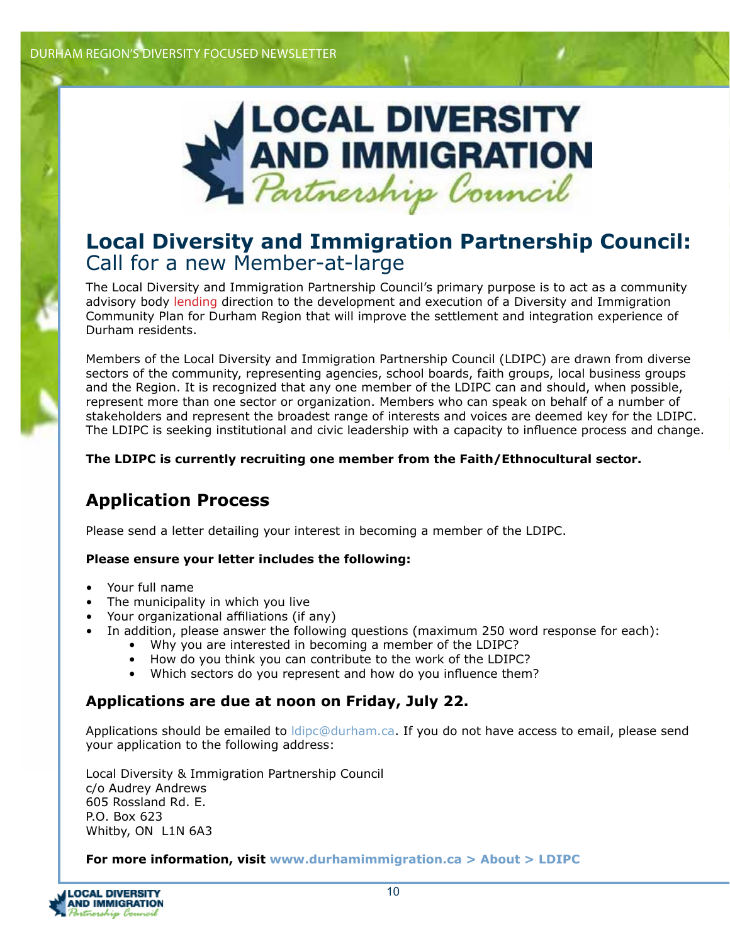

#### **Local Diversity and Immigration Partnership Council:**  Call for a new Member-at-large

The Local Diversity and Immigration Partnership Council's primary purpose is to act as a community advisory body lending direction to the development and execution of a Diversity and Immigration Community Plan for Durham Region that will improve the settlement and integration experience of Durham residents.

Members of the Local Diversity and Immigration Partnership Council (LDIPC) are drawn from diverse sectors of the community, representing agencies, school boards, faith groups, local business groups and the Region. It is recognized that any one member of the LDIPC can and should, when possible, represent more than one sector or organization. Members who can speak on behalf of a number of stakeholders and represent the broadest range of interests and voices are deemed key for the LDIPC. The LDIPC is seeking institutional and civic leadership with a capacity to influence process and change.

#### **The LDIPC is currently recruiting one member from the Faith/Ethnocultural sector.**

#### **Application Process**

Please send a letter detailing your interest in becoming a member of the LDIPC.

#### **Please ensure your letter includes the following:**

- Your full name
- The municipality in which you live
- Your organizational affiliations (if any)
- In addition, please answer the following questions (maximum 250 word response for each):
	- Why you are interested in becoming a member of the LDIPC?
	- How do you think you can contribute to the work of the LDIPC?
	- Which sectors do you represent and how do you influence them?

#### **Applications are due at noon on Friday, July 22.**

Applications should be emailed to *ldipc@durham.ca*. If you do not have access to email, please send your application to the following address:

Local Diversity & Immigration Partnership Council c/o Audrey Andrews 605 Rossland Rd. E. P.O. Box 623 Whitby, ON L1N 6A3

#### **For more information, visit www.durhamimmigration.ca > About > LDIPC**

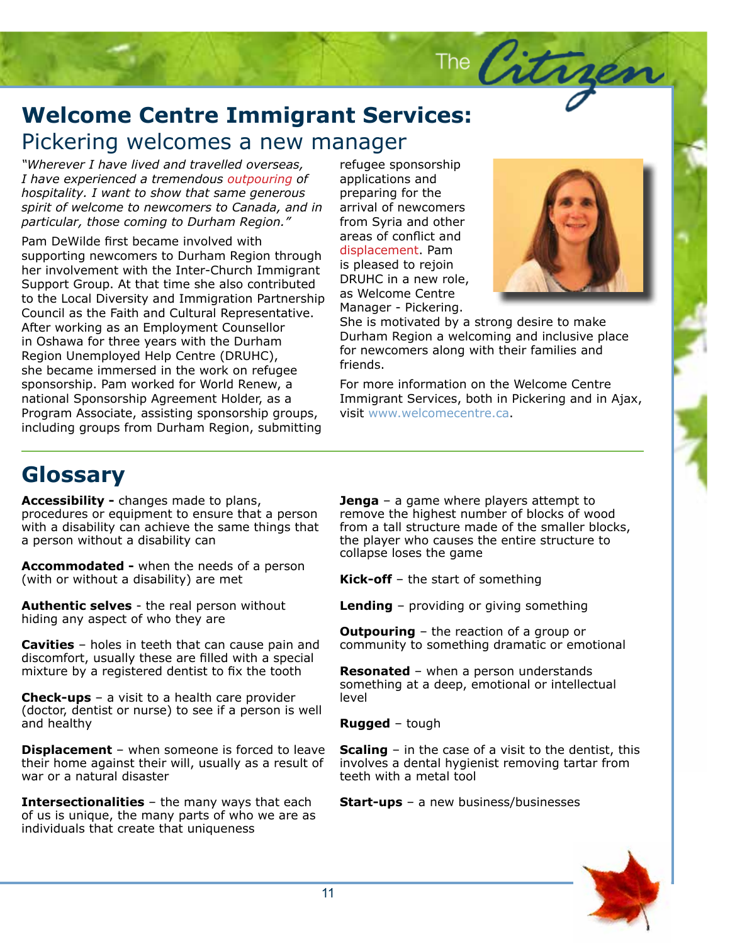## **Welcome Centre Immigrant Services:**<br>Pickering welcomes a new manager Pickering welcomes a new manager

*"Wherever I have lived and travelled overseas, I have experienced a tremendous outpouring of hospitality. I want to show that same generous spirit of welcome to newcomers to Canada, and in particular, those coming to Durham Region."* 

Pam DeWilde first became involved with supporting newcomers to Durham Region through her involvement with the Inter-Church Immigrant Support Group. At that time she also contributed to the Local Diversity and Immigration Partnership Council as the Faith and Cultural Representative. After working as an Employment Counsellor in Oshawa for three years with the Durham Region Unemployed Help Centre (DRUHC), she became immersed in the work on refugee sponsorship. Pam worked for World Renew, a national Sponsorship Agreement Holder, as a Program Associate, assisting sponsorship groups, including groups from Durham Region, submitting

refugee sponsorship applications and preparing for the arrival of newcomers from Syria and other areas of conflict and displacement. Pam is pleased to rejoin DRUHC in a new role, as Welcome Centre Manager - Pickering.



Story Headquarter (1986)<br>Story Headquarter (1986)<br>Story Headquarter (1986)

She is motivated by a strong desire to make Durham Region a welcoming and inclusive place for newcomers along with their families and friends.

The Citre

For more information on the Welcome Centre Immigrant Services, both in Pickering and in Ajax, visit www.welcomecentre.ca.

## **Glossary**

**Accessibility -** changes made to plans, procedures or equipment to ensure that a person with a disability can achieve the same things that a person without a disability can

**Accommodated -** when the needs of a person (with or without a disability) are met

**Authentic selves** - the real person without hiding any aspect of who they are

**Cavities** – holes in teeth that can cause pain and discomfort, usually these are filled with a special mixture by a registered dentist to fix the tooth

**Check-ups** – a visit to a health care provider (doctor, dentist or nurse) to see if a person is well and healthy

**Displacement** – when someone is forced to leave their home against their will, usually as a result of war or a natural disaster

**Intersectionalities** – the many ways that each of us is unique, the many parts of who we are as individuals that create that uniqueness

**Jenga** – a game where players attempt to remove the highest number of blocks of wood from a tall structure made of the smaller blocks, the player who causes the entire structure to collapse loses the game

**Kick-off** – the start of something

**Lending** – providing or giving something

**Outpouring** – the reaction of a group or community to something dramatic or emotional

**Resonated** – when a person understands something at a deep, emotional or intellectual level

**Rugged** – tough

**Scaling** – in the case of a visit to the dentist, this involves a dental hygienist removing tartar from teeth with a metal tool

**Start-ups** – a new business/businesses